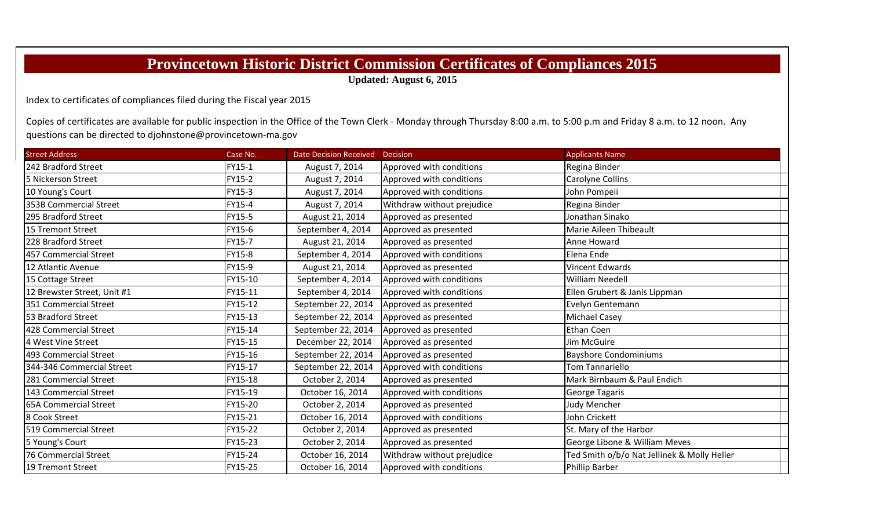## **Provincetown Historic District Commission Certificates of Compliances 2015**

**Updated: August 6, 2015**

Index to certificates of compliances filed during the Fiscal year 2015

Copies of certificates are available for public inspection in the Office of the Town Clerk - Monday through Thursday 8:00 a.m. to 5:00 p.m and Friday 8 a.m. to 12 noon. Any questions can be directed to djohnstone@provincetown‐ma.gov

| <b>Street Address</b>        | Case No. | <b>Date Decision Received</b> | Decision                   | <b>Applicants Name</b>                      |
|------------------------------|----------|-------------------------------|----------------------------|---------------------------------------------|
| 242 Bradford Street          | FY15-1   | August 7, 2014                | Approved with conditions   | Regina Binder                               |
| 5 Nickerson Street           | FY15-2   | August 7, 2014                | Approved with conditions   | <b>Carolyne Collins</b>                     |
| 10 Young's Court             | FY15-3   | August 7, 2014                | Approved with conditions   | John Pompeii                                |
| 353B Commercial Street       | FY15-4   | August 7, 2014                | Withdraw without prejudice | Regina Binder                               |
| 295 Bradford Street          | FY15-5   | August 21, 2014               | Approved as presented      | Jonathan Sinako                             |
| 15 Tremont Street            | FY15-6   | September 4, 2014             | Approved as presented      | Marie Aileen Thibeault                      |
| 228 Bradford Street          | FY15-7   | August 21, 2014               | Approved as presented      | Anne Howard                                 |
| 457 Commercial Street        | FY15-8   | September 4, 2014             | Approved with conditions   | Elena Ende                                  |
| 12 Atlantic Avenue           | FY15-9   | August 21, 2014               | Approved as presented      | Vincent Edwards                             |
| 15 Cottage Street            | FY15-10  | September 4, 2014             | Approved with conditions   | <b>William Needell</b>                      |
| 12 Brewster Street, Unit #1  | FY15-11  | September 4, 2014             | Approved with conditions   | Ellen Grubert & Janis Lippman               |
| 351 Commercial Street        | FY15-12  | September 22, 2014            | Approved as presented      | Evelyn Gentemann                            |
| 53 Bradford Street           | FY15-13  | September 22, 2014            | Approved as presented      | <b>Michael Casey</b>                        |
| 428 Commercial Street        | FY15-14  | September 22, 2014            | Approved as presented      | Ethan Coen                                  |
| 4 West Vine Street           | FY15-15  | December 22, 2014             | Approved as presented      | Jim McGuire                                 |
| 493 Commercial Street        | FY15-16  | September 22, 2014            | Approved as presented      | <b>Bayshore Condominiums</b>                |
| 344-346 Commercial Street    | FY15-17  | September 22, 2014            | Approved with conditions   | Tom Tannariello                             |
| 281 Commercial Street        | FY15-18  | October 2, 2014               | Approved as presented      | Mark Birnbaum & Paul Endich                 |
| 143 Commercial Street        | FY15-19  | October 16, 2014              | Approved with conditions   | <b>George Tagaris</b>                       |
| <b>65A Commercial Street</b> | FY15-20  | October 2, 2014               | Approved as presented      | Judy Mencher                                |
| 8 Cook Street                | FY15-21  | October 16, 2014              | Approved with conditions   | John Crickett                               |
| 519 Commercial Street        | FY15-22  | October 2, 2014               | Approved as presented      | St. Mary of the Harbor                      |
| 5 Young's Court              | FY15-23  | October 2, 2014               | Approved as presented      | George Libone & William Meves               |
| 76 Commercial Street         | FY15-24  | October 16, 2014              | Withdraw without prejudice | Ted Smith o/b/o Nat Jellinek & Molly Heller |
| 19 Tremont Street            | FY15-25  | October 16, 2014              | Approved with conditions   | <b>Phillip Barber</b>                       |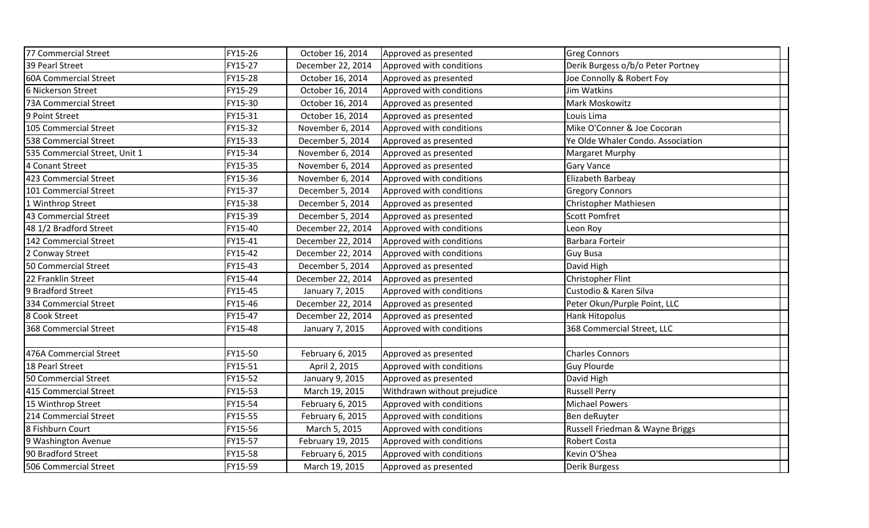| 77 Commercial Street          | FY15-26 | October 16, 2014  | Approved as presented       | <b>Greg Connors</b>               |  |
|-------------------------------|---------|-------------------|-----------------------------|-----------------------------------|--|
| 39 Pearl Street               | FY15-27 | December 22, 2014 | Approved with conditions    | Derik Burgess o/b/o Peter Portney |  |
| 60A Commercial Street         | FY15-28 | October 16, 2014  | Approved as presented       | Joe Connolly & Robert Foy         |  |
| 6 Nickerson Street            | FY15-29 | October 16, 2014  | Approved with conditions    | Jim Watkins                       |  |
| 73A Commercial Street         | FY15-30 | October 16, 2014  | Approved as presented       | Mark Moskowitz                    |  |
| 9 Point Street                | FY15-31 | October 16, 2014  | Approved as presented       | Louis Lima                        |  |
| 105 Commercial Street         | FY15-32 | November 6, 2014  | Approved with conditions    | Mike O'Conner & Joe Cocoran       |  |
| 538 Commercial Street         | FY15-33 | December 5, 2014  | Approved as presented       | Ye Olde Whaler Condo. Association |  |
| 535 Commercial Street, Unit 1 | FY15-34 | November 6, 2014  | Approved as presented       | Margaret Murphy                   |  |
| 4 Conant Street               | FY15-35 | November 6, 2014  | Approved as presented       | <b>Gary Vance</b>                 |  |
| 423 Commercial Street         | FY15-36 | November 6, 2014  | Approved with conditions    | Elizabeth Barbeay                 |  |
| 101 Commercial Street         | FY15-37 | December 5, 2014  | Approved with conditions    | <b>Gregory Connors</b>            |  |
| 1 Winthrop Street             | FY15-38 | December 5, 2014  | Approved as presented       | Christopher Mathiesen             |  |
| 43 Commercial Street          | FY15-39 | December 5, 2014  | Approved as presented       | <b>Scott Pomfret</b>              |  |
| 48 1/2 Bradford Street        | FY15-40 | December 22, 2014 | Approved with conditions    | Leon Roy                          |  |
| 142 Commercial Street         | FY15-41 | December 22, 2014 | Approved with conditions    | Barbara Forteir                   |  |
| 2 Conway Street               | FY15-42 | December 22, 2014 | Approved with conditions    | <b>Guy Busa</b>                   |  |
| 50 Commercial Street          | FY15-43 | December 5, 2014  | Approved as presented       | David High                        |  |
| 22 Franklin Street            | FY15-44 | December 22, 2014 | Approved as presented       | Christopher Flint                 |  |
| 9 Bradford Street             | FY15-45 | January 7, 2015   | Approved with conditions    | Custodio & Karen Silva            |  |
| 334 Commercial Street         | FY15-46 | December 22, 2014 | Approved as presented       | Peter Okun/Purple Point, LLC      |  |
| 8 Cook Street                 | FY15-47 | December 22, 2014 | Approved as presented       | <b>Hank Hitopolus</b>             |  |
| 368 Commercial Street         | FY15-48 | January 7, 2015   | Approved with conditions    | 368 Commercial Street, LLC        |  |
|                               |         |                   |                             |                                   |  |
| 476A Commercial Street        | FY15-50 | February 6, 2015  | Approved as presented       | <b>Charles Connors</b>            |  |
| 18 Pearl Street               | FY15-51 | April 2, 2015     | Approved with conditions    | <b>Guy Plourde</b>                |  |
| 50 Commercial Street          | FY15-52 | January 9, 2015   | Approved as presented       | David High                        |  |
| 415 Commercial Street         | FY15-53 | March 19, 2015    | Withdrawn without prejudice | <b>Russell Perry</b>              |  |
| 15 Winthrop Street            | FY15-54 | February 6, 2015  | Approved with conditions    | <b>Michael Powers</b>             |  |
| 214 Commercial Street         | FY15-55 | February 6, 2015  | Approved with conditions    | Ben deRuyter                      |  |
| 8 Fishburn Court              | FY15-56 | March 5, 2015     | Approved with conditions    | Russell Friedman & Wayne Briggs   |  |
| 9 Washington Avenue           | FY15-57 | February 19, 2015 | Approved with conditions    | <b>Robert Costa</b>               |  |
| 90 Bradford Street            | FY15-58 | February 6, 2015  | Approved with conditions    | Kevin O'Shea                      |  |
| 506 Commercial Street         | FY15-59 | March 19, 2015    | Approved as presented       | <b>Derik Burgess</b>              |  |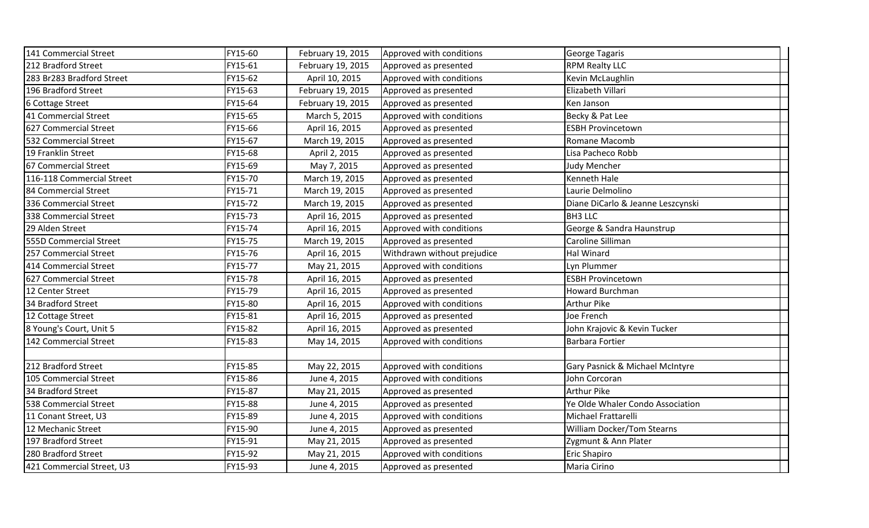| 141 Commercial Street     | FY15-60 | February 19, 2015 | Approved with conditions    | <b>George Tagaris</b>             |
|---------------------------|---------|-------------------|-----------------------------|-----------------------------------|
| 212 Bradford Street       | FY15-61 | February 19, 2015 | Approved as presented       | <b>RPM Realty LLC</b>             |
| 283 Br283 Bradford Street | FY15-62 | April 10, 2015    | Approved with conditions    | Kevin McLaughlin                  |
| 196 Bradford Street       | FY15-63 | February 19, 2015 | Approved as presented       | Elizabeth Villari                 |
| 6 Cottage Street          | FY15-64 | February 19, 2015 | Approved as presented       | Ken Janson                        |
| 41 Commercial Street      | FY15-65 | March 5, 2015     | Approved with conditions    | Becky & Pat Lee                   |
| 627 Commercial Street     | FY15-66 | April 16, 2015    | Approved as presented       | <b>ESBH Provincetown</b>          |
| 532 Commercial Street     | FY15-67 | March 19, 2015    | Approved as presented       | Romane Macomb                     |
| 19 Franklin Street        | FY15-68 | April 2, 2015     | Approved as presented       | Lisa Pacheco Robb                 |
| 67 Commercial Street      | FY15-69 | May 7, 2015       | Approved as presented       | <b>Judy Mencher</b>               |
| 116-118 Commercial Street | FY15-70 | March 19, 2015    | Approved as presented       | Kenneth Hale                      |
| 84 Commercial Street      | FY15-71 | March 19, 2015    | Approved as presented       | Laurie Delmolino                  |
| 336 Commercial Street     | FY15-72 | March 19, 2015    | Approved as presented       | Diane DiCarlo & Jeanne Leszcynski |
| 338 Commercial Street     | FY15-73 | April 16, 2015    | Approved as presented       | <b>BH3 LLC</b>                    |
| 29 Alden Street           | FY15-74 | April 16, 2015    | Approved with conditions    | George & Sandra Haunstrup         |
| 555D Commercial Street    | FY15-75 | March 19, 2015    | Approved as presented       | Caroline Silliman                 |
| 257 Commercial Street     | FY15-76 | April 16, 2015    | Withdrawn without prejudice | Hal Winard                        |
| 414 Commercial Street     | FY15-77 | May 21, 2015      | Approved with conditions    | Lyn Plummer                       |
| 627 Commercial Street     | FY15-78 | April 16, 2015    | Approved as presented       | <b>ESBH Provincetown</b>          |
| 12 Center Street          | FY15-79 | April 16, 2015    | Approved as presented       | Howard Burchman                   |
| 34 Bradford Street        | FY15-80 | April 16, 2015    | Approved with conditions    | Arthur Pike                       |
| 12 Cottage Street         | FY15-81 | April 16, 2015    | Approved as presented       | Joe French                        |
| 8 Young's Court, Unit 5   | FY15-82 | April 16, 2015    | Approved as presented       | John Krajovic & Kevin Tucker      |
| 142 Commercial Street     | FY15-83 | May 14, 2015      | Approved with conditions    | <b>Barbara Fortier</b>            |
|                           |         |                   |                             |                                   |
| 212 Bradford Street       | FY15-85 | May 22, 2015      | Approved with conditions    | Gary Pasnick & Michael McIntyre   |
| 105 Commercial Street     | FY15-86 | June 4, 2015      | Approved with conditions    | John Corcoran                     |
| 34 Bradford Street        | FY15-87 | May 21, 2015      | Approved as presented       | <b>Arthur Pike</b>                |
| 538 Commercial Street     | FY15-88 | June 4, 2015      | Approved as presented       | Ye Olde Whaler Condo Association  |
| 11 Conant Street, U3      | FY15-89 | June 4, 2015      | Approved with conditions    | Michael Frattarelli               |
| 12 Mechanic Street        | FY15-90 | June 4, 2015      | Approved as presented       | <b>William Docker/Tom Stearns</b> |
| 197 Bradford Street       | FY15-91 | May 21, 2015      | Approved as presented       | Zygmunt & Ann Plater              |
| 280 Bradford Street       | FY15-92 | May 21, 2015      | Approved with conditions    | <b>Eric Shapiro</b>               |
| 421 Commercial Street, U3 | FY15-93 | June 4, 2015      | Approved as presented       | Maria Cirino                      |